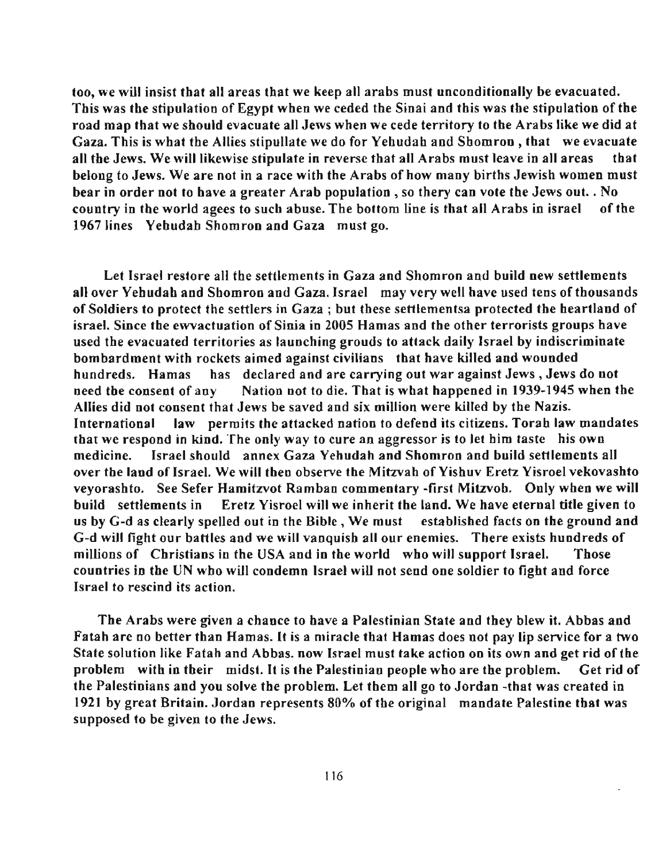**too, we will insist that all areas that we keep all arabs must unconditionally be evacuated.**  This was the stipulation of Egypt when we ceded the Sinai and this was the stipulation of the **road map that we should evacuate all Jews when we cede territory to the Arabs like we did at**  Gaza. This is what the Allies stipullate we do for Yehudah and Shomron, that we evacuate **all tbe Jews. We** will likewise **stipulate in reverse that all Arabs must leave in all areas that belong to Jews. We are not in a race with the Arabs of how many births Jewish women must bear in order not to have a greater Arab population, so thery can vote the Jews out. . No**  country in the world agees to such ahuse. The bottom line is that all Arabs in israel of the 1967 lines Yehudah Shomron and Gaza must go.

Let Israel restore all the settlements in Gaza and Shomron and build new settlements all over Yehudah and Shomron and Gaza. Israel may very well have used tens of thousands **of Soldiers to protect the settlers in Gaza i but these settlementsa protected the heartland of israel. Since the ewvactuation of Sinia in 2005 Hamas and the other terrorists groups have used the evacuated territories as launching grouds to attack daily Israel by indiscriminate bombardment with rockets aimed against civilians that have killed and wounded hundreds. Hamas has declared and are carrying out war against Jews, Jews do not**  need the consent of any Nation not to die. That is what happened in 1939-1945 when the **Allies did not consent that Jews be saved and six million were killed by the Nazis. International law permits the attacked nation to defend its citizens. Torah law mandates that we respond in kind. The only way to cure an aggressor is to let him taste his own medicine. Israel should annex Gaza Yehudah and Shomron and build settlements all**  over the land of Israel. We will then observe the Mitzvah of Yishuv Eretz Yisroel vekovashto veyorashto. See Sefer Hamitzvot Ramban commentary -first Mitzvob. Only when we will **build settlements in Eretz Yisroel will we inherit the land. We have eternal title given to**  us by G-d as clearly spelled out in the Bible, We must established facts on the ground and **G-d will fight our battles and we will vanquish all our enemies. There exists hundreds of millions of Christians in the USA and in the world who will support Israel. Those countries in the UN who will condemn Israel will not send one soldier to fight and force Israel to rescind its action.** 

**The Arabs were given a chance to have a Palestinian State and they blew it. Abbas and Fatah are no better than Hamas. It is a miracle that Hamas does not pay lip service for a two State solution like Fatah and Abbas. now Israel must take action on its own and get rid** of the **problem with in their midst. It is the Palestinian people who are the problem. Get rid of**  the Palestinians and you solve the problem. Let them all go to Jordan -that was created in **1921 by great Britain. Jordan represents 80% of the original mandate Palestine that was supposed to be given to the Jews.**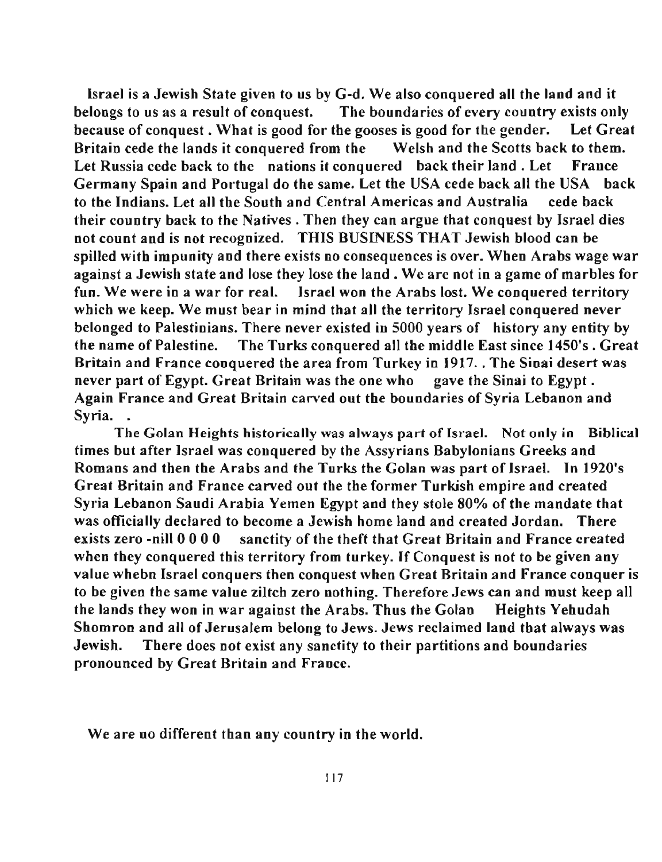Israel is a Jewish State given to us by G-d. We also conquered all the land and it belongs to us as a result of conquest. The boundaries of every country exists only because of conquest. What is good for the gooses is good for the gender. Let Great Britain cede the lands it conquered from the Welsh and the Scotts back to them. Let Russia cede back to the nations it conquered back their land. Let France Germany Spain and Portugal do the same. Let the USA cede back all the USA back to the Indians. Let all the South and Central Americas and Australia cede back their country back to the Natives. Then they can argue that conquest by Israel dies not count and is not recognized. THIS BUSINESS THAT Jewish blood can be spilled with impunity and there exists no consequences is over. When Arabs wage war against a Jewish state and lose they lose the land. We are not in a game of marbles for fun. We were in a war for real. Israel won the Arabs lost. We conquered territory which we keep. We must bear in mind that all the territory Israel conquered never belonged to Palestinians. There never existed in 5000 years of history any entity by the name of Palestine. The Turks conquered all the middle East since 1450's. Great Britain and France conquered the area from Turkey in 1917 .. The Sinai desert was never part of Egypt. Great Britain was the one who gave the Sinai to Egypt. Again France and Great Britain carved out the boundaries of Syria Lebanon and Syria.

The Golan Heights historically was always part of Israel. Not only in Biblical times but after Israel was conquered by the Assyrians Babylonians Greeks and Romans and then the Arabs and the Turks the Golan was part of Israel. In 1920's Great Britain and France carved out the the former Turkish empire and created Syria Lebanon Saudi Arabia Yemen Egypt and they stole 80% of the mandate that was officially declared to become a Jewish home land and created Jordan. There exists zero -nill 0 0 0 0 sanctity of the theft that Great Britain and France created when they conquered this territory from turkey. If Conquest is not to be given any **value whebn Israel conquers then conquest when Great Britain and France conquer is**  to be given the same value ziltch zero nothing. Therefore Jews can and must keep all the lands they won in war against the Arabs. Thus the Golan Heights Yehudah Shomron and all of Jerusalem belong to Jews. Jews reclaimed land that always was Jewish. There does not exist any sanctity to their partitions and boundaries pronounced by Great Britain and France.

We are no different than any country in the world.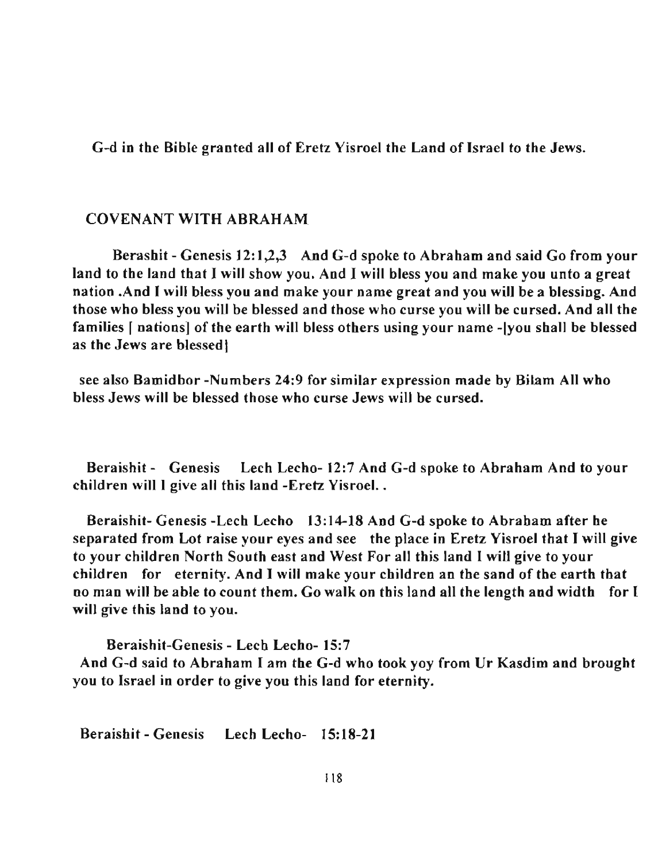G-d in the Bible granted all of Eretz Yisroel the Land of Israel to the Jews.

## COVENANT WITH ABRAHAM

Berashit - Genesis 12:1,2,3 And G-d spoke to Abraham and said Go from your land to the land that I will show you. And I will bless you and make you unto a great nation .And 1 will bless you and make your name great and you will be a blessing. And those who bless you will be blessed and those who curse you will be cursed. And all the families [ nations] of the earth will bless others using your name -[you shall be blessed as the Jews are blessed!

see also Bamidbor -Numbers 24:9 for similar expression made by Bilam All who bless Jews will be blessed those who curse Jews will be cursed.

Beraishit - Genesis Lech Lecho- 12:7 And G-d spoke to Abraham And to your children will 1 give all this land -Eretz Yisroel ..

Beraishit- Genesis -Lech Lecho 13:14-18 And G-d spoke to Abraham after he separated from Lot raise your eyes and see the place in Eretz Yisroel that I will give to your children North South east and West For all this land I will give to your children for eternity. And I will make your children an the sand of the earth that no man will be able to count them. Go walk on this land all the length and width for I will give this land to you.

Beraishit-Genesis - Lech Lecho- 15:7 And G-d said to Abraham I am the G-d who took yoy from Ur Kasdim and brought you to Israel in order to give you this land for eternity.

Beraishit - Genesis Lech Lecho- 15:18-21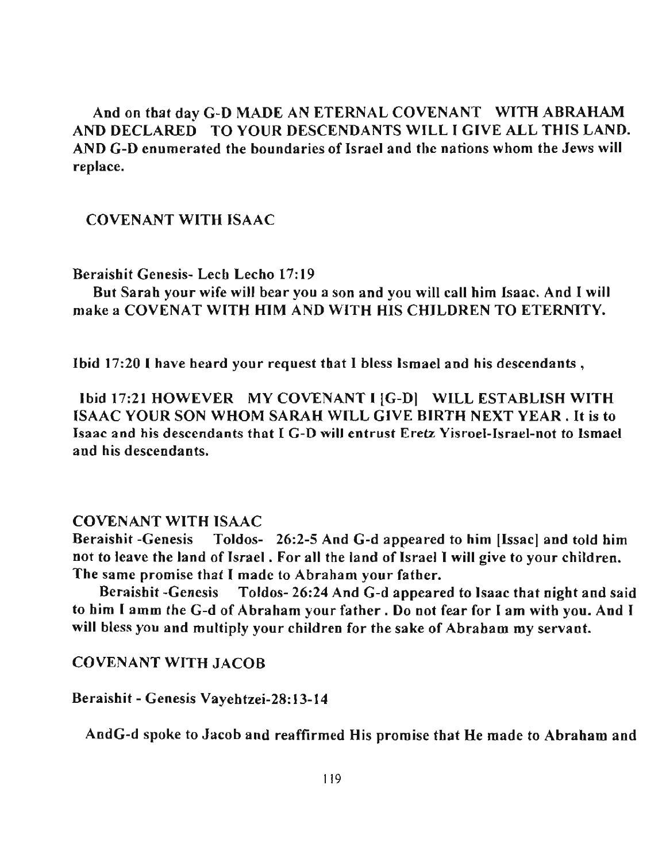And on that day G-D MADE AN ETERNAL COVENANT WITH ABRAHAM AND DECLARED TO YOUR DESCENDANTS WILL I GIVE ALL THIS LAND. AND G-D enumerated the boundaries of Israel and the nations whom the Jews will replace.

## COVENANT WITH ISAAC

#### Beraishit Genesis- Lech Lecho 17:19

But Sarah your wife will bear you a son and you will call him Isaac. And I will make a COVENAT WITH HIM AND WITH HIS CHILDREN TO ETERNITY.

Ibid 17:20 I have heard your request that I bless Ismael and his descendants,

Ibid 17:21 HOWEVER MY COVENANT I (G-D( WILL ESTABLISH WITH ISAAC YOUR SON WHOM SARAH WILL GfVE BffiTH NEXT YEAR. It is to Isaac and his descendants that I G-D will entrust Eretz Yisroel-Israel-not to Ismael and his descendants.

#### COVENANT WITH ISAAC

Beraishit -Genesis Toldos- 26:2-5 And G-d appeared to him [Issac] and told him not to leave the land of Israel. For all the land of Israel I will give to your children. The same promise that I made to Abraham your father.

Beraishit -Genesis Toldos- 26:24 And G-d appeared to Isaac that night and said to him I amm the G-d of Abraham your father. Do not fear for f am with you. And f will bless you and multiply your children for the sake of Abraham my servant.

COVENANT WITH JACOB

Beraishit - Genesis Vayehtzei-28:13-14

AndG-d spoke to Jacob and reaffirmed His promise that He made to Abraham and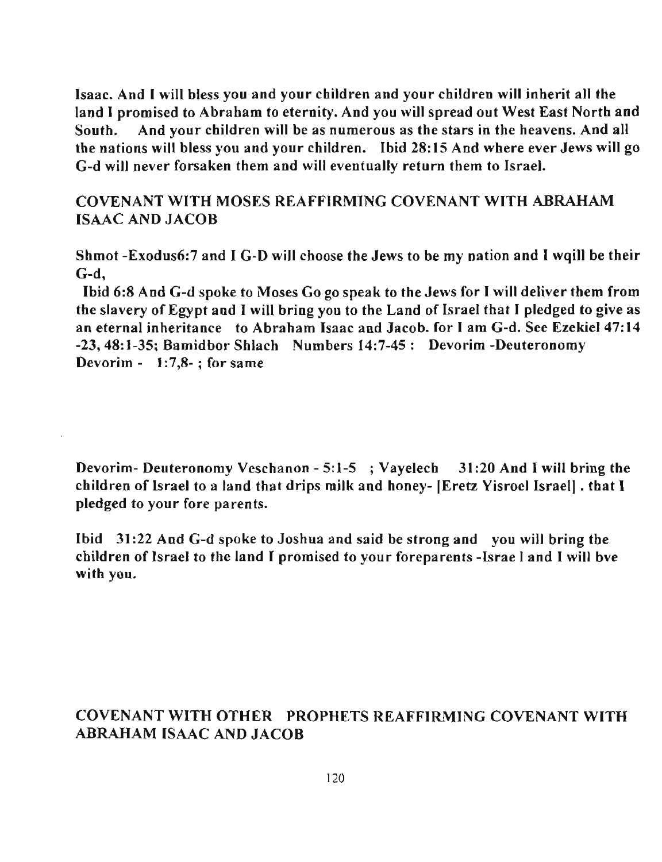Isaac. And I will bless you and your children and your children will inherit all the land I promised to Abraham to eternity. And you will spread out West East North and South. And your children will be as numerous as the stars in the heavens. And all the nations will bless you and your children. Ibid 28:15 And where ever Jews will go G-d will never forsaken them and will eventually return them to Israel.

# COVENANT WITH MOSES REAFFIRMING COVENANT WITH ABRAHAM ISAAC AND JACOB

Shmot -Exodus6:7 and I G-D will choose the Jews to be my nation and I wqill be their G-d,

Ibid 6:8 And G-d spoke to Moses Go go speak to the Jews for I will deliver them from the slavery of Egypt and I will bring you to the Land of Israel that I pledged to give as an eternal inheritance to Abraham Isaac and Jacob. for I am G-d. See Ezekiel 47:14 -23,48:1-35; Bamidbor Shlach Numbers 14:7-45: Devorim -Deuteronomy **Devorim - 1:7,8-; for same** 

Devorim- Deuteronomy Veschanon - 5: 1-5 ; Vayelech 31 :20 And I will bring the children of Israel to a land that drips milk and honey- IEretz Visroel Israel] . that I pledged to your fore parents.

Ibid 31 :22 And G-d spoke to Joshua and said be strong and you will bring the children of Israel to the land I promised to your foreparents -Israe I and I will bve with you.

# COVENANT WITH OTHER PROPHETS REAFFIRMING COVENANT WITH ABRAHAM ISAAC AND JACOB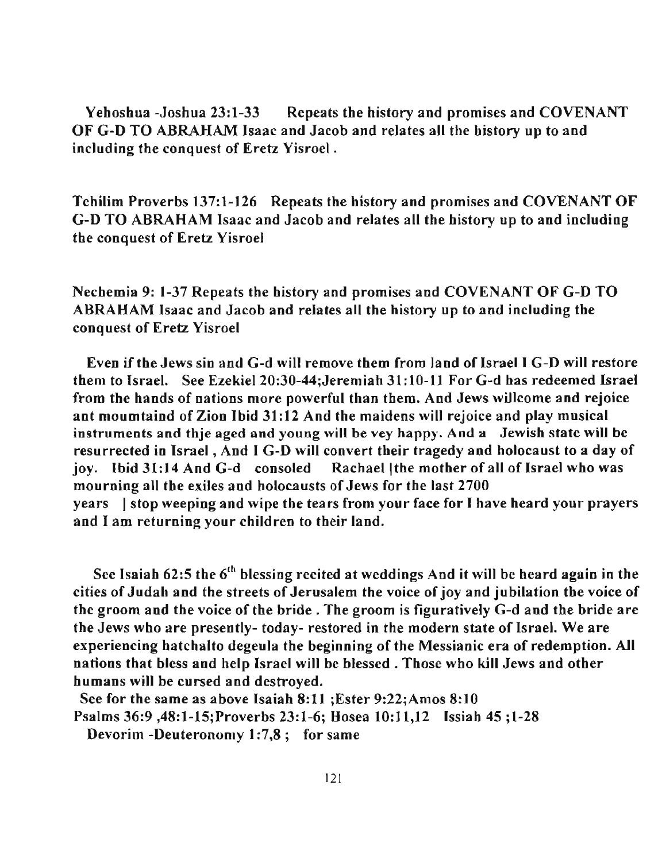Yehoshua -Joshua 23:1-33 Repeats the history and promises and COVENANT OF G-D TO ABRAHAM Isaac and Jacob and relates all the history up to and including the conquest of Eretz Yisroel .

Tehilim Proverbs 137:1-126 Repeats the history and promises and COVENANT OF G-D TO ABRAHAM Isaac and Jacob and relates all the history up to and including the conquest of Eretz Yisroel

Nechemia 9: 1-37 Repeats the history and promises and COVENANT OF G-D TO ABRAHAM Isaac and Jacob and relates all the history up to and including tbe conquest of Eretz Yisroel

Even if the Jews sin and G-d will remove them from land of IsraelI G-D will restore them to Israel. See Ezekiel 20:30-44;Jeremiah 31: 10-11 For G-d has redeemed Israel from the hands of nations more powerful than them. And Jews willcome and rejoice ant moumtaind of Zion Ibid 31 :12 And the maidens will rejoice and play musical instruments and thje aged ond young will be vey happy. And a Jewish state will be resurrected in Israel, And I G-D will convert their tragedy and holocaust to a day of joy. Ibid 31:14 And G-d consoled Rachael | the mother of all of Israel who was mourning all the exiles and holocausts of Jews for the last 2700 years I stop weeping and wipe the tears from your face for I have heard your prayers and I am returning your children to their land.

See Isaiah  $62:5$  the  $6<sup>th</sup>$  blessing recited at weddings And it will be heard again in the cities of Judah and the streets of Jerusalem the voice of joy and jubilation the voice of the groom and the voice of the bride. The groom is figuratively G-d and the bride are the Jews who are presently- today- restored in the modern state of Israel. We are experiencing hatchalto degeula the beginning of the Messianic era of redemption. All nations that bless and help Israel will be blessed. Those who kill Jews and other humans will be cursed and destroyed.

See for the same as above Isaiah 8:11 ;Ester 9:22;Amos 8:10 Psalms 36:9 ,48:1-15;Proverbs 23:1-6; Hosea 10:11,12 Issiah 45 ;1-28

Devorim -Deuteronomy 1:7,8; for same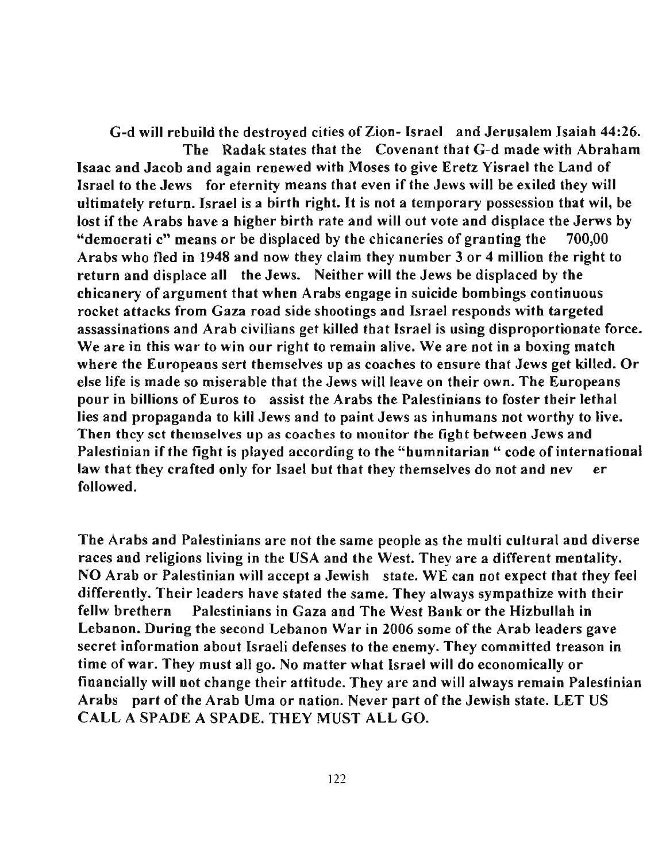G-d will rebuild the destroyed cities of Zion- Israel and Jerusalem Isaiah 44:26. The Radak states that the Covenant that G-d made with Abraham Isaac and Jacob and again renewed with Moses to give Eretz Yisrael the Land of Israel to the Jews for eternity means that even if the Jews will be exiled they will ultimately return. Israel is a birth right. It is not a temporary possession that wil, be lost if the Arabs have a higher birth rate and will out vote and displace the Jerws by "democrati c" means or be displaced by the chicaneries of granting the 700,00 Arabs who fled in 1948 and now they claim they number 3 or 4 million the right to return and displace all the Jews. Neither will the Jews be displaced by the chicanery of argument that when Arabs engage in suicide bombings continuous rocket attacks from Gaza road side shootings and Israel responds with targeted assassinations and Arab civilians get killed that Israel is using disproportionate force. **We are in this war to win our right to remain alive. We are not in a boxing match**  where the Europeans sert themselves up as coaches to ensure that Jews get killed. Or else life is made so miserable that the Jews will leave on their own. The Europeans pour in billions of Euros to assist the Arabs the Palestinians to foster their lethal lies and propaganda to kill Jews and to paint Jews as inhumans not worthy to live. **Then they sct themselves up as coaches to monitor the fight between Jews and**  Palestinian if the fight is played according to the "humnitarian " code of international law that they crafted only for Isael but that they themselves do not and neverthe followed.

The Arabs and Palestinians are not the same people as the multi cultural and diverse races and religions living in the USA and the West. They are a different mentality. NO Arab or Palestinian will accept a Jewish state. WE can not expect that they feel differently. Their leaders have stated the same. They always sympathize with their fellw brethern Palestinians in Gaza and The West Bank or the Hizbullah in Lebanon. During the second Lebanon War in 2006 some of the Arab leaders gave secret information about Israeli defenses to the enemy. They committed treason in time of war. They must all go. No matter what Israel will do economically or financially will not change their attitude. They are and will always remain Palestinian Arabs part of the Arab Uma or nation. Never part of the Jewish state. LET US CALL A SPADE A SPADE. THEY MUST ALL GO.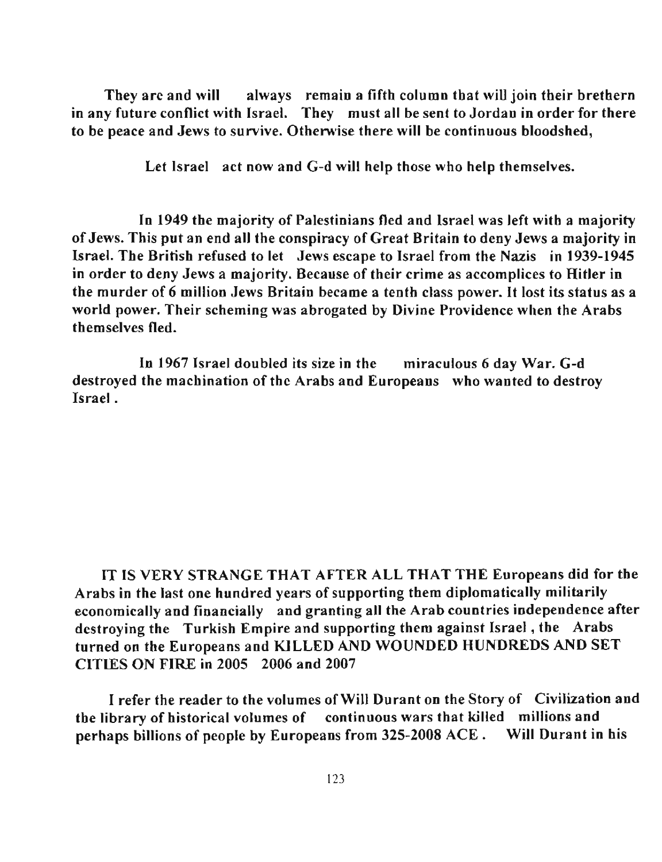Tbey are and will always remain a fifth column that will join their brethern in any future conflict with Israel. They must all be sent to Jordan in order for there to be peace and Jews to survive. Otherwise there will be continuous bloodshed,

Let Israel act now and G-d will help those who help themselves.

In 1949 the majority of Palestinians fled and Israel was left with a majority of Jews. This put an end all the conspiracy of Great Britain to deny Jews a majority in Israel. The Britisb refused to let Jews escape to Israel from the Nazis in \939-\945 in order to deny Jews a majority. Because of their crime as accomplices to Hitler in tbe murder of 6 million Jews Britain became a tenth class power. It lost its status as a world power. Their scheming was abrogated by Divine Providence when the Arabs themselves fled.

In 1967 Israel doubled its size in the miraculous 6 day War. G-d destroyed the machination of the Arabs and Europeans who wanted to destroy Israel .

IT IS VERY STRANGE THAT AFTER ALL THAT THE Europeans did for the Arabs in the last one hundred years of supporting them diplomatically militarily economically and financially and granting all the Arab countries independence after destroying the Turkish Empire and supporting them against Israel , the Arabs turned on the Europeans and KlLLED AND WOUNDED HUNDREDS AND SET CITIES ON FIRE in 2005 2006 and 2007

I refer the reader to the volumes of Will Durant on the Story of Civilization and tbe library of historical volumes of continuous wars that killed millions and perhaps billions of people by Europeans from 325-2008 ACE. Will Durant in his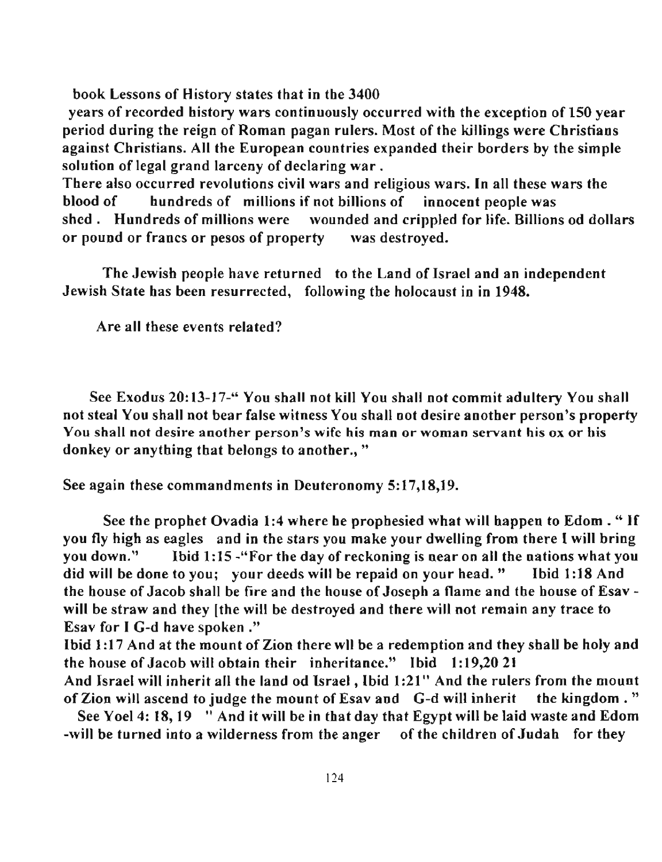book Lessons of History states that in the 3400

years of recorded history wars continuously occurred with the exception of 150 year period during the reign of Roman pagan rulers. Most of the killings were Christians against Cbristians. All the European countries expanded their borders by the simple solution of legal grand larceny of declaring war.

There also occurred revolutions civil wars and religious wars. **In** all these wars the blood of hundreds of millions if not billions of innocent people was shed. Hundreds of millions were wounded and crippled for life. Billions od dollars or pound or francs or pesos of property was destroyed.

The Jewish people have returned to the Land of Israel and an independent Jewish State has been resurrected, following the holocaust in in 1948.

Are all these events related?

See Exodus 20:13-17-" You shall not kill You shall not commit adultery You shall not steal You shall not bear false witness You shall not desire anotber person's property **You sball not desire another person's wife his man or woman servant his ox or his**  donkey or anything that belongs to another.,"

See again these commandments in Deuteronomy 5:17,18,19.

See the prophet Ovadia 1:4 where he prophesied what will happen to Edom . " Lf you fly high as eagles and in the stars you make your dwelling from there 1 will bring you down." Ibid 1:15 - "For the day of reckoning is near on all the nations what you did will be done to you; your deeds will be repaid on your head." Ibid 1:18 And the house of Jacob shall be fire and the house of Joseph a flame and the house of Esav will be straw and they [the will be destroyed and there will not remain any trace to Esav for I G-d have spoken ."

Ibid 1:17 And at the mount of Zion there wll be a redemption and they shall be holy and the house of Jacob will obtain their inheritance." Ibid 1: 19,2021

And Israel will inherit all the land od Israel, Ibid 1:21" And the rulers from the mount of Zion will ascend to judge the mount of Esav and G-d will inherit the kingdom. "

See Yoel 4: 18, 19 " And it will be in that day that Egypt will be laid waste and Edom -will be turned into a wilderness from the anger of the children of Judah for they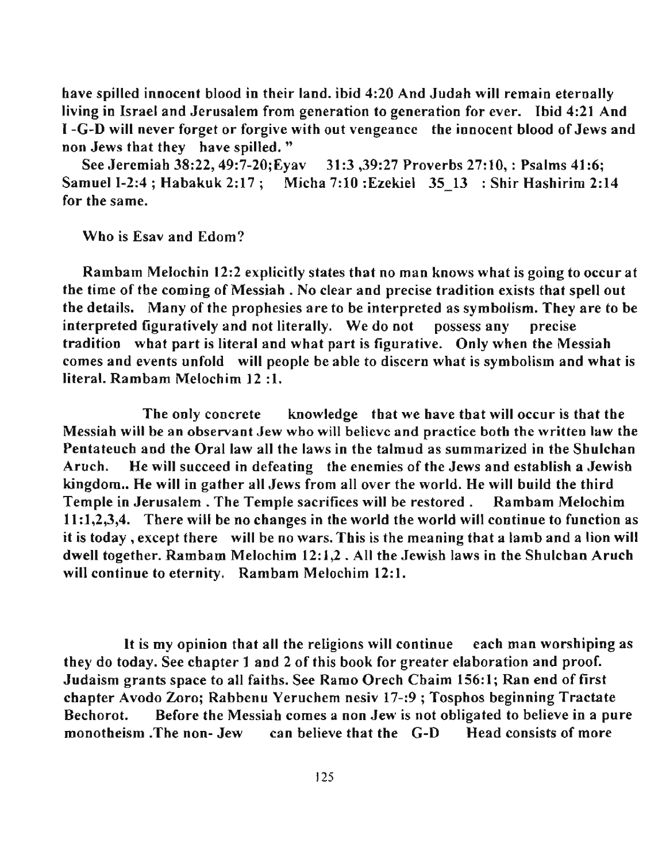bave spilled innocent blood in their land. ibid 4:20 And Judah will remain eternally living in Israel and Jerusalem from generation to generation for ever. Ibid 4:21 And I -G-D will never forget or forgive with out vengeance the innocent blood of Jews and non Jews that they have spilled. "

See Jeremiah 38:22, 49:7-20;Eyav 31:3,39:27 Proverbs 27:10,: Psalms 41:6; Samuel 1-2:4 ; Habakuk 2:17; Micha 7:10 :Ezekiel 35 13 : Shir Hashirim 2:14 for the same.

Who is Esav and Edom?

Rambam Melochin 12:2 explicitly states that no man knows what is going to occur at tbe time of the coming of Messiab . No clear and precise tradition exists that spell out the details. Many of the prophesies are to be interpreted as symbolism. They are to be interpreted figuratively and not literally. We do not possess any precise tradition what part is literal and wbat part is figurative. Only when the Messiah comes and events unfold will people be able to discern what is symbolism and what is literal. Rambam Melochim 12 :1.

The only concrete knowledge tbat we have that will occur is that the **Messiah will be an observant Jew who will believe and practice both the written law the**  Pentateuch and the Oral law all the laws in the talmud as summarized in the Sbulchan Aruch. He will succeed in defeating the enemies of the Jews and establish a Jewish kingdom.. He will in gather all Jews from all over the world. He will build the third Temple in Jerusalem. The Temple sacrifices will be restored. Rambam Melochim 11:1,2,3,4. There will be no changes in the world the world will continue to function as it is today, except there will be no wars. Tbis is the meaning that a lamb and a lion will dwell together. Rambam Melochim 12:1,2 . All the Jewish laws in the Sbulchan Aruch will continue to eternity. Rambam Melochim 12:1.

It is my opinion tbat all the religions will continue each man worsbiping as tbey do today. See chapter 1 and 2 of this book for greater elaboration and proof. Judaism grants space to all faitbs. See Ramo Orech Chaim 156:1; Ran end of first cbapter Avodo Zoro; Rabbenu Yeruchem nesiv 17-:9; Tosphos beginning Tractate Bechorot. Before the Messiah comes a non Jew is not obligated to believe in a pure monotbeism .The non- Jew can believe that the G-D Head consists of more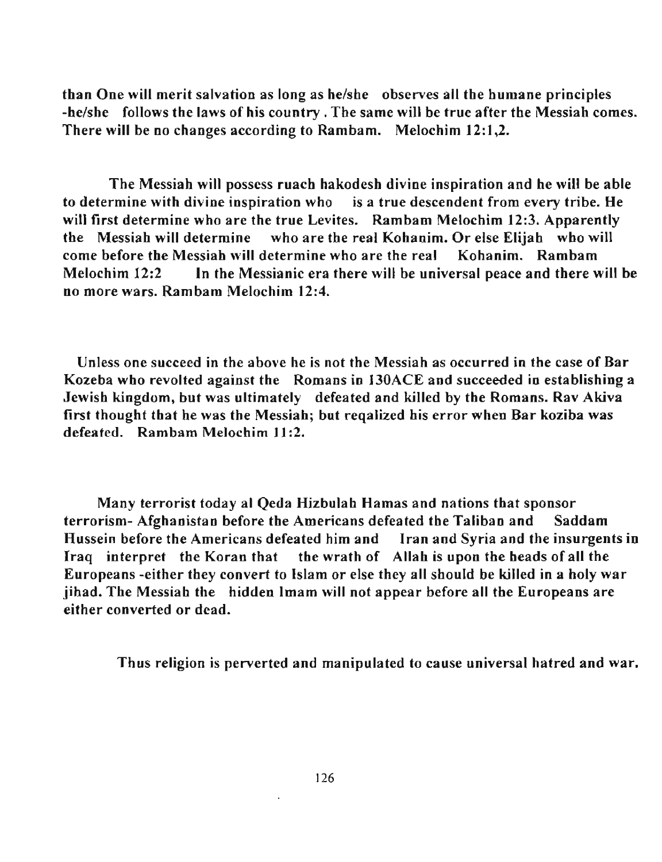than One will merit salvation as long as helshe observes all the humane principles -he/she follows the laws of his country. The same will be true after the Messiah comes. There will be no changes according to Rambam. Melochim 12:1,2.

The Messiah will possess ruach hakodesh divine inspiration and he will be able to determine with divine inspiration who is a true descendent from every tribe. He will first determine who are the true Levites. Rambam Melochim 12:3. Apparently the Messiah will determine who are the real Kohanim. Or else Elijah who will come before the Messiah will determine who are the real Kohanim. Rambam Melochim 12:2 **In** the Messianic era there will be universal peace and there will be no more wars. Rambam Melochim 12:4.

**Unless one succeed in the above he is not the Messiah as occurred in the case of Bar**  Kozeba who revolted against the Romans in 130ACE and succeeded in establishing a Jewish kingdom, but was ultimately defeated and killed by the Romans. Rav Akiva first thought that he was the Messiah; but reqalized his error when Bar koziba was defeated. Rambam Melochim 11:2.

Many terrorist today al Qeda Hizbulah Hamas and nations that sponsor terrorism- Afghanistan before the Americans defeated the Taliban and Saddam Hussein before the Americans defeated him and Iran and Syria and the insurgents in Iraq interpret the Koran that the wrath of Allah is upon the heads of all the Europeans -either they convert to Islam or else they all should be killed in a holy war jihad. The Messiah the hidden Imam will not appear before all the Europeans are either converted or dead.

Thus religion is perverted and manipulated to cause universal hatred and war.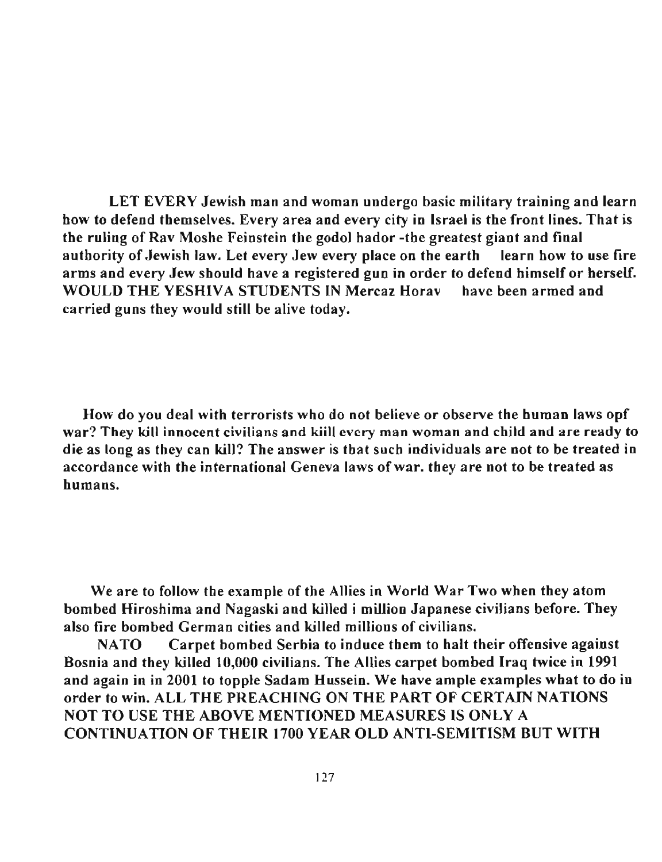LET EVERY Jewish man and woman undergo basic military training and learn bow to defend themselves. Every area and every city in Israel is tbe front lines. That is the ruling of Rav Moshe Feinstein the godol hador -the greatest giant and final authority of Jewish law. Let every Jew every place on the earth learn how to use fire arms and every Jew should have a registered gun in order to defend himself or herself. WOULD THE YESHIVA STUDENTS IN Mercaz Horav have been armed and carried guns tbey would still be alive today.

How do you deal witb terrorists who do not believe or observe the human laws opf **war? They kill innocent civilians and kiill every man woman and child and are ready to** die as long as they can kill? The answer is tbat such individuals are not to be treated in accordance with the international Geneva laws of war. they are not to be treated as humans.

We are to follow the example of the Allies in World War Two when they atom bombed Hiroshima and Nagaski and killed i million Japanese civilians before. They also fire bombed German cities and killed millions of civilians.

NATO Carpet bombed Serbia to induce them to halt their offensive against Bosnia and they killed 10,000 civilians. The Allies carpet bombed Iraq twice in 1991 and again in in 2001 to topple Sadam Hussein. We have ample examples what to do in order to win. ALL THE PREACHING ON THE PART OF CERTAIN NATIONS NOT TO USE THE ABOVE MENTIONED MEASURES IS ONLY A CONTINUATION OF THEIR 1700 YEAR OLD ANTI-SEMITISM BUT WITH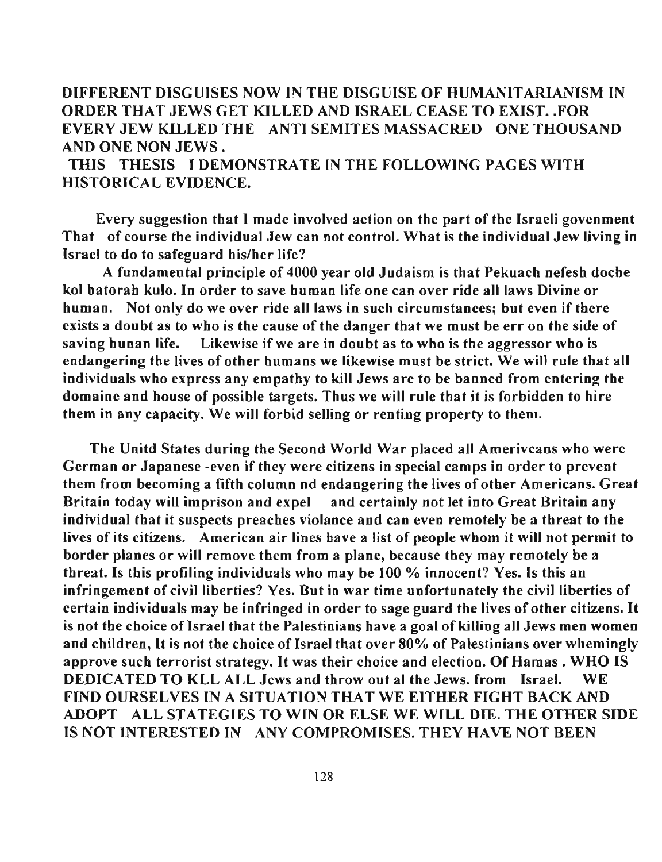# DIFFERENT DISGUISES NOW IN THE DISGUISE OF HUMANITARIANISM IN ORDER THAT JEWS GET KILLED AND ISRAEL CEASE TO EXIST. FOR EVERY JEW KILLED THE ANTI SEMITES MASSACRED ONE THOUSAND AND ONE NON JEWS.

THlS THESIS I DEMONSTRATE IN THE FOLLOWING PAGES WITH HISTORICAL EVIDENCE.

Every suggestion that I made involved action on the part of the Israeli govenment That of course the individual Jew can not control. What is the individual Jew living in Israel to do to safeguard his/her life?

A fundamental principle of 4000 year old Judaism is that Pekuach nefesh doche kol hatorab kulo. **In** order to save human life one can over ride all laws Divine or human. Not only do we over ride all laws in such circumstances; but even if there exists a doubt as to who is the cause of the danger that we must be err on the side of saving hunan life. Likewise if we are in doubt as to who is the aggressor who is endangering the lives of other humans we likewise must be strict. We will rule that all individuals who express any empathy to kill Jews are to be banned from entering the domaine and house of possible targets. Thus we will rule that it is forbidden to hire them in any capacity. We will forbid selling or renting property to them.

The Unitd States during the Second World War placed all Amerivcans who were **German or Japanese -even if they were citizens in special camps in order to prevent**  them from becoming a fiftb column nd endangering the lives of other Americans. Great Britain today will imprison and expel and certainly not let into Great Britain any individual that it suspects preaches violance and can even remotely be a threat to the lives of its citizens. American air lines have a list of people whom it will not permit to border planes or will remove them from a plane, because they may remotely be a threat. Is this profiling individuals who may be 100 % innocent? Yes. Is this an infringement of civil liberties? Yes. But in war time unfortunately the civil liberties of certain individuals may be infringed in order to sage guard the lives of other citizens. It is not the choice of Israel that the Palestinians have a goal of killing all Jews men women and children, It is not the choice of Israel that over 80% of Palestinians over whemingly approve such terrorist strategy. It was their choice and election. Of Hamas . WHO IS DEDICATED TO KLL ALL Jews and throw out al the Jews. from Israel. WE FIND OURSELVES IN A SITUATION THAT WE EITHER FIGHT BACK AND ADOPT ALL STATEGIES TO WIN OR ELSE WE WILL DIE. THE OTHER SIDE IS NOT INTERESTED IN ANY COMPROMISES. THEY HAVE NOT BEEN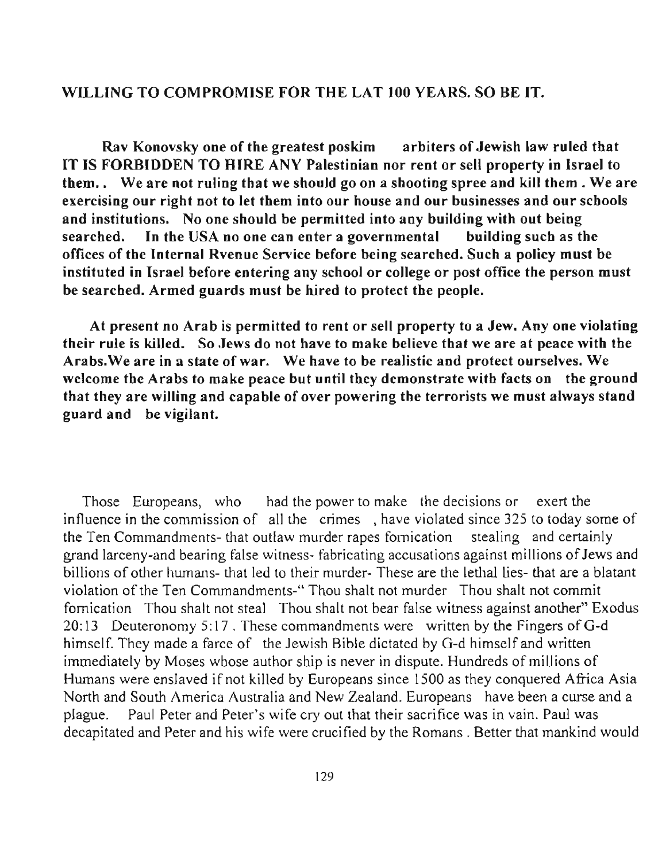## WILLING TO COMPROMISE FOR THE LAT 100 YEARS. SO BE IT.

Rav Konovsky one of the greatest poskim arbiters of Jewish law ruled that IT IS FORBIDDEN TO HIRE ANY Palestinian nor rent or sell property in Israel to them.. We are not ruling that we should go on a shooting spree and kill them. We are exercising our right not to let them into our house and our husinesses and our schools and institutions. No one should be permitted into any building with out being searched. In tbe USA no one can enter a governmental building such as the offices of the Internal Rvenue Service before being searched. Such a policy must be instituted in Israel before entering any school or college or post office the person must be searched. Armed guards must be hired to protect the people.

At present no Arab is permitted to rent or sell property to a Jew. Anyone violating their rule is killed. So Jews do not have to make believe that we are at peace with the Arabs.We are in a state of war. We have to be realistic and protect ourselves. We welcome the Arabs to make peace but until they demonstrate with facts on the ground that they are willing and capable of over powering the terrorists we must always stand guard and be vigilant.

Those Europeans, who had the power to make the decisions or exert the influence in the commission of all the crimes, have violated since 325 to today some of the Ten Commandments- that outlaw murder rapes fornication stealing and certainly grand larceny-and bearing false witness- fabricating accusations against millions of Jews and billions of other humans- that led to their murder- These are the lethal lies- that are a blatant violation of the Ten Commandments-" Thou shalt not murder Thou shalt not commit fornication Thou shalt not steal Thou shalt not bear false witness against another" Exodus 20:13 Deuteronomy 5:17 . These commandments were written by the Fingers ofG-d himself. They made a farce of the Jewish Bible dictated by G-d himself and written immediately by Moses whose author ship is never in dispute. Hundreds of millions of Humans were enslaved ifnot killed by Europeans since 1500 as they conquered Africa Asia North and South America Australia and New Zealand. Europeans have been a curse and a plague. Paul Peter and Peter's wife cry out that their sacrifice was in vain. Paul was decapitated and Peter and his wife were crucified by the Romans. Better that mankind would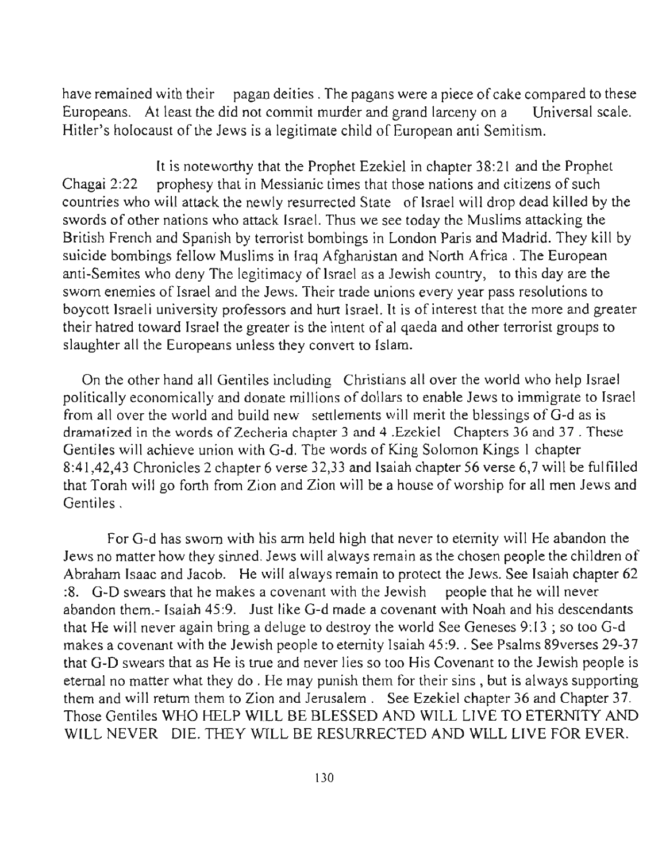have remained with their pagan deities. The pagans were a piece of cake compared to these Europeans. At least the did not commit murder and grand larceny on a Universal scale. Hitler's holocaust of the Jews is a legitimate child of European anti Semitism.

It is noteworthy that the Prophet Ezekiel in chapter 38:21 and the Prophet Chagai 2:22 prophesy that in Messianic times that those nations and citizens of such countries who will attack the newly resurrected State of Israel will drop dead killed by the swords of other nations who attack Israel. Thus we see today the Muslims attacking the British French and Spanish by terrorist bombings in London Paris and Madrid. They kill by suicide bombings fellow Muslims in Iraq Afghanistan and North Africa. The European anti-Semites who deny The legitimacy of Israel as a Jewish country, to this day are the sworn enemies of Israel and the Jews. Their trade unions every year pass resolutions to boycott Israeli university professors and hurt Israel. It is of interest that the more and greater their hatred toward Israel the greater is the intent of al qaeda and other terrorist groups to slaughter all the Europeans unless they convert to Islam.

On the other hand all Gentiles including Christians all over the world who help Israel politically economically and donate millions of dollars to enable Jews to immigrate to Israel from all over the world and build new settlements will merit the blessings of G-d as is dramatized in the words of Zecheria chapter 3 and 4 .Ezekiel Chapters 36 and 37 . These Gentiles will achieve union with G-d. The words of King Solomon Kings I chapter 8:41,42,43 Chronicles 2 chapter 6 verse 32,33 and Isaiah chapter 56 verse 6,7 will be fulfilled that Torah will go forth from Zion and Zion will be a house of worship for all men Jews and Gentiles.

For G-d has sworn with his arm held high that never to eternity will He abandon the Jews no matter how they sinned. Jews will always remain as the chosen people the children of Abraham Isaac and Jacob. He will always remain to protect the Jews. See Isaiah chapter 62 :8. G-D swears that he makes a covenant with the Jewish people that he will never abandon them.- Isaiah 45:9. Just like G-d made a covenant with Noah and his descendants that He will never again bring a deluge to destroy the world See Geneses 9: 13 ; so too G-d makes a covenant with the Jewish people to eternity Isaiah 45:9 . . See Psalms 89verses 29-37 that G-D swears that as He is true and never lies so too His Covenant to the Jewish people is eternal no matter what they do . He may punish them for their sins, but is always supporting them and will return them to Zion and Jerusalem. See Ezekiel chapter 36 and Chapter 37. Those Gentiles WHO HELP WILL BE BLESSED AND WILL LIVE TO ETERNITY AND WILL NEVER DIE. THEY WILL BE RESURRECTED AND WILL LIVE FOR EVER.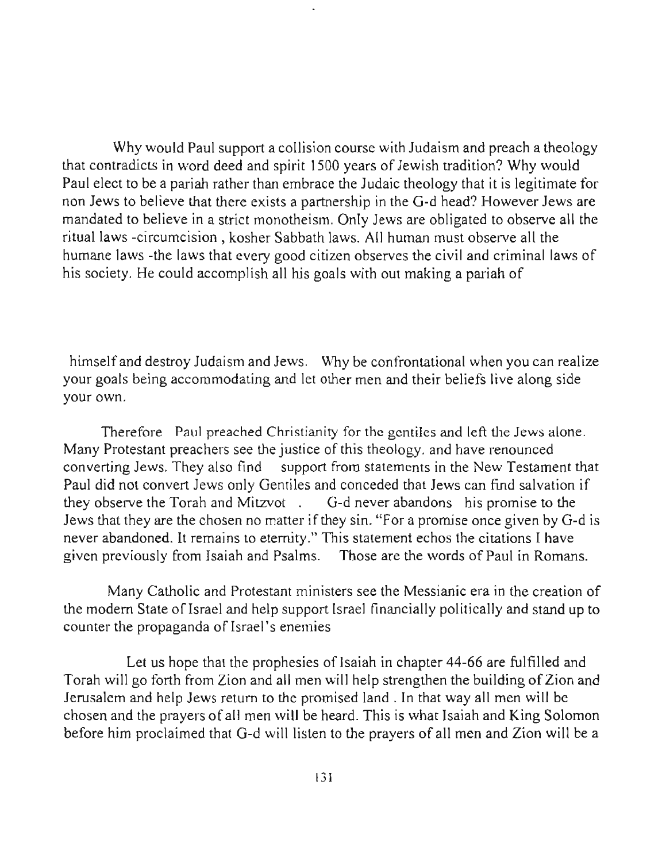Why would Paul support a collision course with Judaism and preach a theology that contradicts in word deed and spirit 1500 years of Jewish tradition? Why would Paul elect to be a pariah rather than embrace the Judaic theology that it is legitimate for non Jews to believe that there exists a partnership in the G-d head? However Jews are mandated to believe in a strict monotheism. Only Jews are obligated to observe all the ritual laws -circumcision , kosher Sabbath laws. All human must observe all the humane laws -the laws that every good citizen observes the civil and criminal laws of his society. He could accomplish all his goals with out making a pariah of

himself and destroy Judaism and Jews. Why be confrontational when you can realize your goals being accommodating and let other men and their beliefs live along side your own.

Therefore Paul preached Christianity for the gentiles and left the Jews alone. Many Protestant preachers see the justice of this theology. and have renounced converting Jews. They also find support from statements in the New Testament that Paul did not convert Jews only Gentiles and conceded that Jews can find salvation if they observe the Torah and Mitzvot. G-d never abandons his promise to the Jews that they are the chosen no matter if they sin. "For a promise once given by G-d is **never abandoned. It remains to eternity." This statement echos the citations 1 have**  given previously from Isaiah and Psalms. Those are the words of Paul in Romans.

Many Catholic and Protestant ministers see the Messianic era in the creation of the modern State of Israel and help support Israel financially politically and stand up to counter the propaganda of Israel's enemies

Let us hope that the prophesies of Isaiah in chapter 44-66 are fulfilled and Torah will go forth from Zion and all men will help strengthen the building of Zion and Jerusalem and help Jews return to the promised land. In that way all men will be chosen and the prayers of all men will be heard. This is what Isaiah and King Solomon before him proclaimed that G-d will listen to the prayers of all men and Zion will be a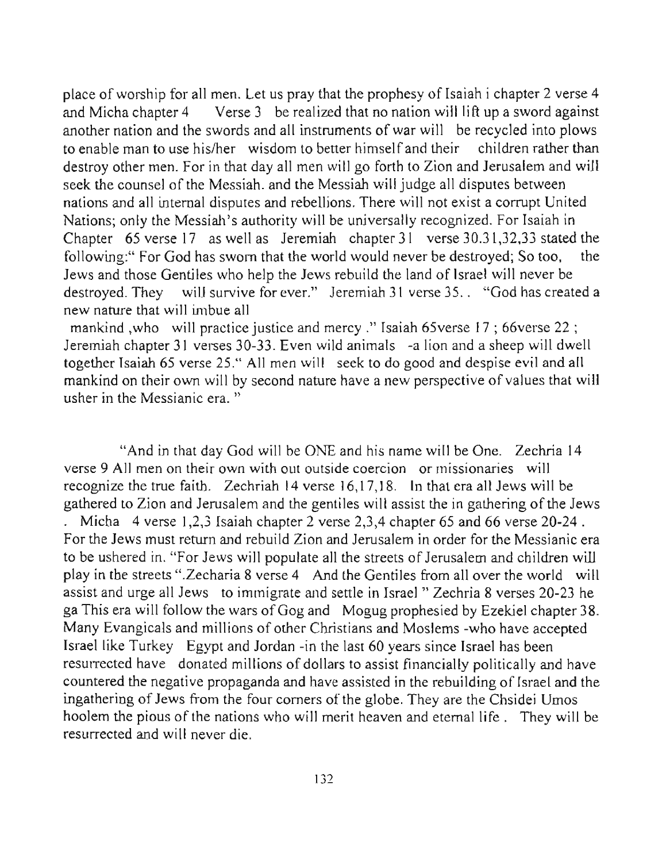place of worship for all men. Let us pray that the prophesy of Isaiah i chapter 2 verse 4 and Micha chapter 4 Verse 3 be realized that no nation will lift up a sword against another nation and the swords and all instruments of war will be recycled into plows to enable man to use his/her wisdom to better himself and their children rather than destroy other men. For in that day all men will go forth to Zion and Jerusalem and will seek the counsel of the Messiah. and the Messiah will judge all disputes between nations and all internal disputes and rebellions. There will not exist a corrupt United Nations; only the Messiah's authority will be universally recognized. For Isaiah in Chapter 65 verse 17 as well as Jeremiah chapter 31 verse 30.31,32,33 stated the following:" For God has sworn that the world would never be destroyed; So too, the Jews and those Gentiles who help the Jews rebuild the land of Israel will never be destroyed. They will survive for ever." Jeremiah 31 verse 35.. "God has created a new nature that will imbue all

mankind ,who will practice justice and mercy ." Isaiah 65verse 17; 66verse 22; Jeremiah chapter 31 verses 30-33. Even wild animals -a lion and a sheep will dwell together Isaiah 65 verse 25." All men will seek to do good and despise evil and all mankind on their own will by second nature have a new perspective of values that will **usher in the Messianic era. "** 

"And in that day God will be ONE and his name will be One. Zechria **14 verse 9 All men on their own with out outside coercion or missionaries will**  recognize the true faith. Zechriah **14** verse 16,17,18. **In** that era all Jews will be gathered to Zion and Jerusalem and the gentiles will assist the in gathering of the Jews . Micha 4 verse 1,2,3 Isaiah chapter 2 verse 2,3,4 chapter 65 and 66 verse  $20-24$ . For the Jews must return and rebuild Zion and Jerusalem in order for the Messianic era to be ushered in. "For Jews will populate all the streets of Jerusalem and children will play in the streets ".Zecharia 8 verse 4 And the Gentiles from all over the world will assist and urge all Jews to immigrate and settle in Israel " Zechria 8 verses 20-23 he ga This era will follow the wars of Gog and Mogug prophesied by Ezekiel chapter 38. Many Evangicals and millions of other Christians and Moslems -who have accepted Israel like Turkey Egypt and Jordan -in the last 60 years since Israel has been resurrected have donated millions of dollars to assist financially politically and have countered the negative propaganda and have assisted in the rebuilding of Israel and the ingathering of Jews from the four comers of the globe. They are the Chsidei Umos hoolem the pious of the nations who will merit heaven and eternal life . They will be resurrected and will never die.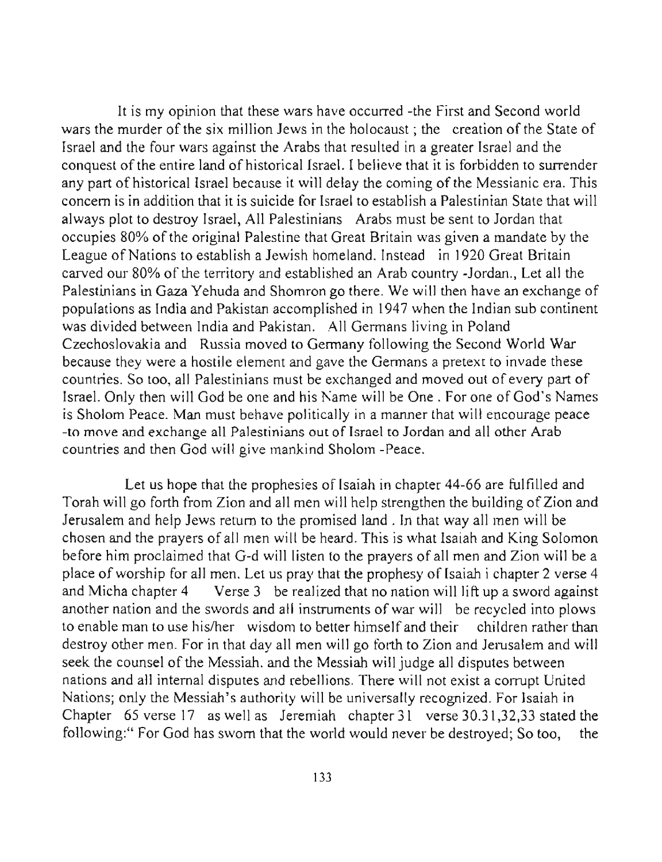It is my opinion that these wars have occurred -the First and Second world wars the murder of the six million Jews *in* the holocaust; the creation of the State of Israel and the four wars against the Arabs that resulted in a greater Israel and the conquest of the entire land of historical Israel. I believe that it is forbidden to surrender any part of historical Israel because it will delay the coming of the Messianic era. This concern is in addition that it is suicide for Israel to establish a Palestinian State that will always plot to destroy lsrael, All Palestinians Arabs must be sent to lordan that occupies 80% of the original Palestine that Great Britain was given a mandate by the League of Nations to establish a Jewish homeland. Instead in 1920 Great Britain carved our 80% of the territory and established an Arab country -Jordan., Let all the Palestinians in Gaza Yehuda and Shomron go there. We will then have an exchange of populations as India and Pakistan accomplished in 1947 when the Indian sub continent was divided between India and Pakistan. All Germans living in Poland Czechoslovakia and Russia moved to Germany following the Second World War because they were a hostile element and gave the Germans a pretext to invade these countries. So too, all Palestinians must be exchanged and moved out of every part of Israel. Only then will God be one and his Name will be One. For one of God's Names is Sholom Peace. Man must behave politically in a manner that will encourage peace **-to move and exchange all Palestinians out of Israel to Jordan and all other Arab**  countries and then God will give mankind Sholom -Peace.

Let us hope that the prophesies of Isaiah in chapter 44-66 are fulfilled and Torah will go forth from Zion and all men will help strengthen the building of Zion and Jerusalem and help Jews return to the promised land. In that way all men will be chosen and the prayers of all men will be heard. This is what Isaiah and King Solomon before him proclaimed that G-d will listen to the prayers of all men and Zion will be a place of worship for all men. Let us pray that the prophesy of Isaiah i chapter 2 verse 4 and Micha chapter 4 Verse 3 be realized that no nation will lift up a sword against another nation and the swords and all instruments of war will be recycled into plows to enable man to use his/her wisdom to better himself and their children rather than destroy other men. For in that day all men will go forth to Zion and Jerusalem and will seek the counsel of the Messiah. and the Messiah will judge all disputes between nations and all internal disputes and rebellions. There will not exist a corrupt United Nations; only the Messiah's authority will be universally recognized. For Isaiah in Chapter 65 verse 17 as well as Jeremiah chapter 31 verse 30.31,32,33 stated the following:" For God has sworn that the world would never be destroyed; So too, the